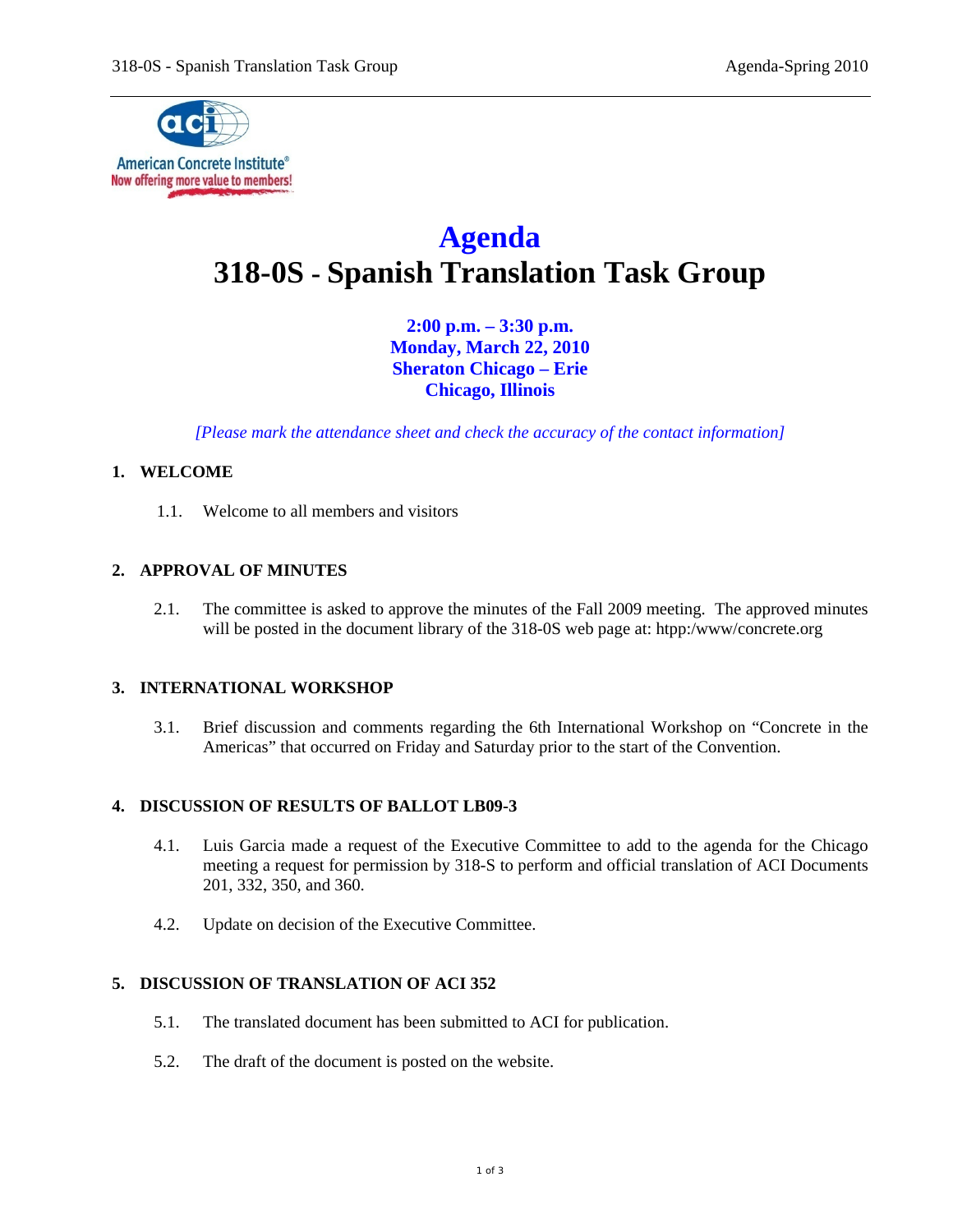

# **Agenda 318-0S - Spanish Translation Task Group**

**2:00 p.m. – 3:30 p.m. Monday, March 22, 2010 Sheraton Chicago – Erie Chicago, Illinois** 

*[Please mark the attendance sheet and check the accuracy of the contact information]* 

## **1. WELCOME**

1.1. Welcome to all members and visitors

## **2. APPROVAL OF MINUTES**

2.1. The committee is asked to approve the minutes of the Fall 2009 meeting. The approved minutes will be posted in the document library of the 318-0S web page at: htpp:/www/concrete.org

## **3. INTERNATIONAL WORKSHOP**

3.1. Brief discussion and comments regarding the 6th International Workshop on "Concrete in the Americas" that occurred on Friday and Saturday prior to the start of the Convention.

#### **4. DISCUSSION OF RESULTS OF BALLOT LB09-3**

- 4.1. Luis Garcia made a request of the Executive Committee to add to the agenda for the Chicago meeting a request for permission by 318-S to perform and official translation of ACI Documents 201, 332, 350, and 360.
- 4.2. Update on decision of the Executive Committee.

## **5. DISCUSSION OF TRANSLATION OF ACI 352**

- 5.1. The translated document has been submitted to ACI for publication.
- 5.2. The draft of the document is posted on the website.